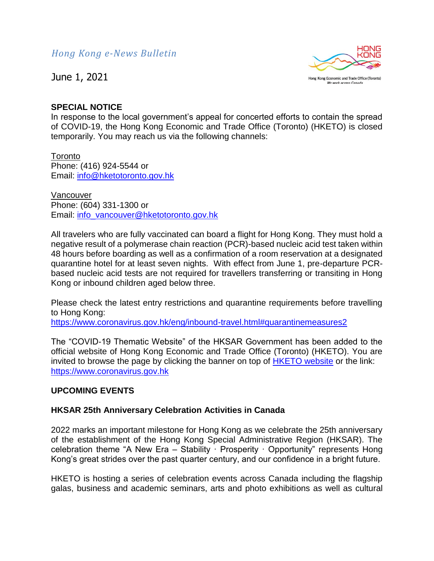June 1, 2021



# **SPECIAL NOTICE**

In response to the local government's appeal for concerted efforts to contain the spread of COVID-19, the Hong Kong Economic and Trade Office (Toronto) (HKETO) is closed temporarily. You may reach us via the following channels:

**Toronto** Phone: (416) 924-5544 or Email: [info@hketotoronto.gov.hk](mailto:info@hketotoronto.gov.hk)

Vancouver Phone: (604) 331-1300 or Email: [info\\_vancouver@hketotoronto.gov.hk](mailto:info_vancouver@hketotoronto.gov.hk)

All travelers who are fully vaccinated can board a flight for Hong Kong. They must hold a negative result of a polymerase chain reaction (PCR)-based nucleic acid test taken within 48 hours before boarding as well as a confirmation of a room reservation at a designated quarantine hotel for at least seven nights. With effect from June 1, pre-departure PCRbased nucleic acid tests are not required for travellers transferring or transiting in Hong Kong or inbound children aged below three.

Please check the latest entry restrictions and quarantine requirements before travelling to Hong Kong:

<https://www.coronavirus.gov.hk/eng/inbound-travel.html#quarantinemeasures2>

The "COVID-19 Thematic Website" of the HKSAR Government has been added to the official website of Hong Kong Economic and Trade Office (Toronto) (HKETO). You are invited to browse the page by clicking the banner on top of [HKETO website](https://www.hketotoronto.gov.hk/) or the link: [https://www.coronavirus.gov.hk](https://www.coronavirus.gov.hk/)

# **UPCOMING EVENTS**

## **HKSAR 25th Anniversary Celebration Activities in Canada**

2022 marks an important milestone for Hong Kong as we celebrate the 25th anniversary of the establishment of the Hong Kong Special Administrative Region (HKSAR). The celebration theme "A New Era – Stability · Prosperity · Opportunity" represents Hong Kong's great strides over the past quarter century, and our confidence in a bright future.

HKETO is hosting a series of celebration events across Canada including the flagship galas, business and academic seminars, arts and photo exhibitions as well as cultural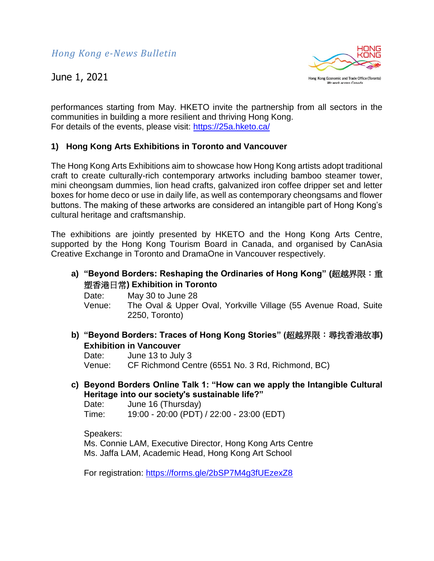June 1, 2021



performances starting from May. HKETO invite the partnership from all sectors in the communities in building a more resilient and thriving Hong Kong. For details of the events, please visit:<https://25a.hketo.ca/>

# **1) Hong Kong Arts Exhibitions in Toronto and Vancouver**

The Hong Kong Arts Exhibitions aim to showcase how Hong Kong artists adopt traditional craft to create culturally-rich contemporary artworks including bamboo steamer tower, mini cheongsam dummies, lion head crafts, galvanized iron coffee dripper set and letter boxes for home deco or use in daily life, as well as contemporary cheongsams and flower buttons. The making of these artworks are considered an intangible part of Hong Kong's cultural heritage and craftsmanship.

The exhibitions are jointly presented by HKETO and the Hong Kong Arts Centre, supported by the Hong Kong Tourism Board in Canada, and organised by CanAsia Creative Exchange in Toronto and DramaOne in Vancouver respectively.

**a) "Beyond Borders: Reshaping the Ordinaries of Hong Kong" (**超越界限:重 塑香港日常**) Exhibition in Toronto**

Date: May 30 to June 28 Venue: The Oval & Upper Oval, Yorkville Village (55 Avenue Road, Suite 2250, Toronto)

**b) "Beyond Borders: Traces of Hong Kong Stories" (**超越界限:尋找香港故事**) Exhibition in Vancouver**

Date: June 13 to July 3 Venue: CF Richmond Centre (6551 No. 3 Rd, Richmond, BC)

**c) Beyond Borders Online Talk 1: "How can we apply the Intangible Cultural Heritage into our society's sustainable life?"**

Date: June 16 (Thursday) Time: 19:00 - 20:00 (PDT) / 22:00 - 23:00 (EDT)

Speakers:

Ms. Connie LAM, Executive Director, Hong Kong Arts Centre Ms. Jaffa LAM, Academic Head, Hong Kong Art School

For registration:<https://forms.gle/2bSP7M4g3fUEzexZ8>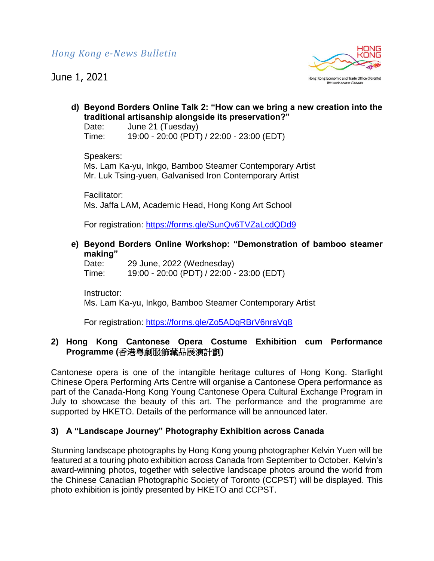June 1, 2021



**d) Beyond Borders Online Talk 2: "How can we bring a new creation into the traditional artisanship alongside its preservation?"** 

Date: June 21 (Tuesday) Time: 19:00 - 20:00 (PDT) / 22:00 - 23:00 (EDT)

#### Speakers:

Ms. Lam Ka-yu, Inkgo, Bamboo Steamer Contemporary Artist Mr. Luk Tsing-yuen, Galvanised Iron Contemporary Artist

Facilitator: Ms. Jaffa LAM, Academic Head, Hong Kong Art School

For registration:<https://forms.gle/SunQv6TVZaLcdQDd9>

**e) Beyond Borders Online Workshop: "Demonstration of bamboo steamer making"**

Date: 29 June, 2022 (Wednesday) Time: 19:00 - 20:00 (PDT) / 22:00 - 23:00 (EDT)

Instructor: Ms. Lam Ka-yu, Inkgo, Bamboo Steamer Contemporary Artist

For registration:<https://forms.gle/Zo5ADgRBrV6nraVq8>

# **2) Hong Kong Cantonese Opera Costume Exhibition cum Performance Programme (**香港粵劇服飾藏品展演計劃**)**

Cantonese opera is one of the intangible heritage cultures of Hong Kong. Starlight Chinese Opera Performing Arts Centre will organise a Cantonese Opera performance as part of the Canada-Hong Kong Young Cantonese Opera Cultural Exchange Program in July to showcase the beauty of this art. The performance and the programme are supported by HKETO. Details of the performance will be announced later.

# **3) A "Landscape Journey" Photography Exhibition across Canada**

Stunning landscape photographs by Hong Kong young photographer Kelvin Yuen will be featured at a touring photo exhibition across Canada from September to October. Kelvin's award-winning photos, together with selective landscape photos around the world from the Chinese Canadian Photographic Society of Toronto (CCPST) will be displayed. This photo exhibition is jointly presented by HKETO and CCPST.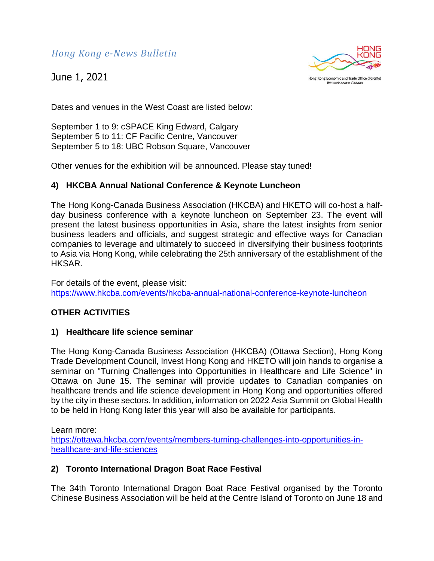June 1, 2021



Hong Kong Economic and Trade Office (Toronto) We work across Canada

Dates and venues in the West Coast are listed below:

September 1 to 9: cSPACE King Edward, Calgary September 5 to 11: CF Pacific Centre, Vancouver September 5 to 18: UBC Robson Square, Vancouver

Other venues for the exhibition will be announced. Please stay tuned!

# **4) HKCBA Annual National Conference & Keynote Luncheon**

The Hong Kong-Canada Business Association (HKCBA) and HKETO will co-host a halfday business conference with a keynote luncheon on September 23. The event will present the latest business opportunities in Asia, share the latest insights from senior business leaders and officials, and suggest strategic and effective ways for Canadian companies to leverage and ultimately to succeed in diversifying their business footprints to Asia via Hong Kong, while celebrating the 25th anniversary of the establishment of the HKSAR.

For details of the event, please visit: <https://www.hkcba.com/events/hkcba-annual-national-conference-keynote-luncheon>

# **OTHER ACTIVITIES**

## **1) Healthcare life science seminar**

The Hong Kong-Canada Business Association (HKCBA) (Ottawa Section), Hong Kong Trade Development Council, Invest Hong Kong and HKETO will join hands to organise a seminar on "Turning Challenges into Opportunities in Healthcare and Life Science" in Ottawa on June 15. The seminar will provide updates to Canadian companies on healthcare trends and life science development in Hong Kong and opportunities offered by the city in these sectors. In addition, information on 2022 Asia Summit on Global Health to be held in Hong Kong later this year will also be available for participants.

Learn more:

[https://ottawa.hkcba.com/events/members-turning-challenges-into-opportunities-in](https://ottawa.hkcba.com/events/members-turning-challenges-into-opportunities-in-healthcare-and-life-sciences)[healthcare-and-life-sciences](https://ottawa.hkcba.com/events/members-turning-challenges-into-opportunities-in-healthcare-and-life-sciences)

## **2) Toronto International Dragon Boat Race Festival**

The 34th Toronto International Dragon Boat Race Festival organised by the Toronto Chinese Business Association will be held at the Centre Island of Toronto on June 18 and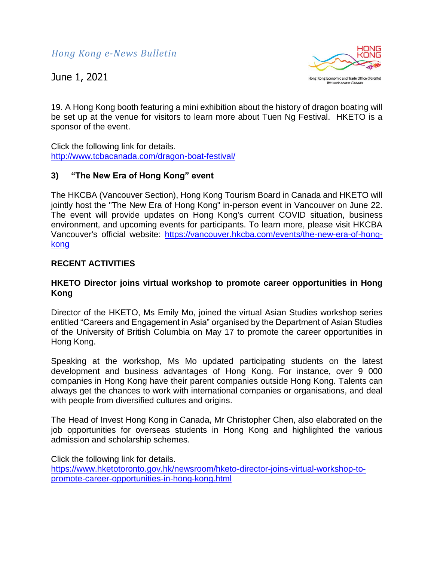June 1, 2021



19. A Hong Kong booth featuring a mini exhibition about the history of dragon boating will be set up at the venue for visitors to learn more about Tuen Ng Festival. HKETO is a sponsor of the event.

Click the following link for details. <http://www.tcbacanada.com/dragon-boat-festival/>

## **3) "The New Era of Hong Kong" event**

The HKCBA (Vancouver Section), Hong Kong Tourism Board in Canada and HKETO will jointly host the "The New Era of Hong Kong" in-person event in Vancouver on June 22. The event will provide updates on Hong Kong's current COVID situation, business environment, and upcoming events for participants. To learn more, please visit HKCBA Vancouver's official website: [https://vancouver.hkcba.com/events/the-new-era-of-hong](https://vancouver.hkcba.com/events/the-new-era-of-hong-kong)[kong](https://vancouver.hkcba.com/events/the-new-era-of-hong-kong)

# **RECENT ACTIVITIES**

## **HKETO Director joins virtual workshop to promote career opportunities in Hong Kong**

Director of the HKETO, Ms Emily Mo, joined the virtual Asian Studies workshop series entitled "Careers and Engagement in Asia" organised by the Department of Asian Studies of the University of British Columbia on May 17 to promote the career opportunities in Hong Kong.

Speaking at the workshop, Ms Mo updated participating students on the latest development and business advantages of Hong Kong. For instance, over 9 000 companies in Hong Kong have their parent companies outside Hong Kong. Talents can always get the chances to work with international companies or organisations, and deal with people from diversified cultures and origins.

The Head of Invest Hong Kong in Canada, Mr Christopher Chen, also elaborated on the job opportunities for overseas students in Hong Kong and highlighted the various admission and scholarship schemes.

Click the following link for details. [https://www.hketotoronto.gov.hk/newsroom/hketo-director-joins-virtual-workshop-to](https://www.hketotoronto.gov.hk/newsroom/hketo-director-joins-virtual-workshop-to-promote-career-opportunities-in-hong-kong.html)[promote-career-opportunities-in-hong-kong.html](https://www.hketotoronto.gov.hk/newsroom/hketo-director-joins-virtual-workshop-to-promote-career-opportunities-in-hong-kong.html)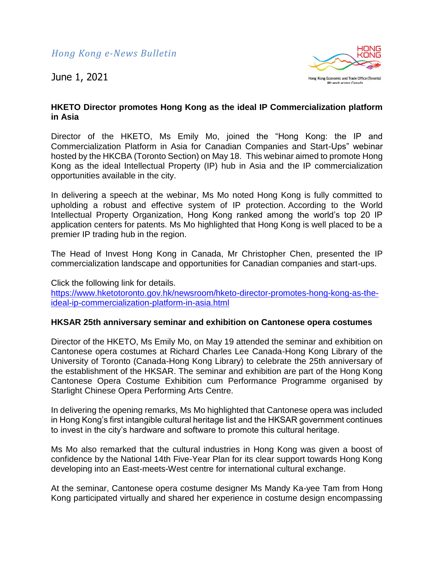

# **HKETO Director promotes Hong Kong as the ideal IP Commercialization platform in Asia**

Director of the HKETO, Ms Emily Mo, joined the "Hong Kong: the IP and Commercialization Platform in Asia for Canadian Companies and Start-Ups" webinar hosted by the HKCBA (Toronto Section) on May 18. This webinar aimed to promote Hong Kong as the ideal Intellectual Property (IP) hub in Asia and the IP commercialization opportunities available in the city.

In delivering a speech at the webinar, Ms Mo noted Hong Kong is fully committed to upholding a robust and effective system of IP protection. According to the World Intellectual Property Organization, Hong Kong ranked among the world's top 20 IP application centers for patents. Ms Mo highlighted that Hong Kong is well placed to be a premier IP trading hub in the region.

The Head of Invest Hong Kong in Canada, Mr Christopher Chen, presented the IP commercialization landscape and opportunities for Canadian companies and start-ups.

Click the following link for details. [https://www.hketotoronto.gov.hk/newsroom/hketo-director-promotes-hong-kong-as-the](https://www.hketotoronto.gov.hk/newsroom/hketo-director-promotes-hong-kong-as-the-ideal-ip-commercialization-platform-in-asia.html)[ideal-ip-commercialization-platform-in-asia.html](https://www.hketotoronto.gov.hk/newsroom/hketo-director-promotes-hong-kong-as-the-ideal-ip-commercialization-platform-in-asia.html)

## **HKSAR 25th anniversary seminar and exhibition on Cantonese opera costumes**

Director of the HKETO, Ms Emily Mo, on May 19 attended the seminar and exhibition on Cantonese opera costumes at Richard Charles Lee Canada-Hong Kong Library of the University of Toronto (Canada-Hong Kong Library) to celebrate the 25th anniversary of the establishment of the HKSAR. The seminar and exhibition are part of the Hong Kong Cantonese Opera Costume Exhibition cum Performance Programme organised by Starlight Chinese Opera Performing Arts Centre.

In delivering the opening remarks, Ms Mo highlighted that Cantonese opera was included in Hong Kong's first intangible cultural heritage list and the HKSAR government continues to invest in the city's hardware and software to promote this cultural heritage.

Ms Mo also remarked that the cultural industries in Hong Kong was given a boost of confidence by the National 14th Five-Year Plan for its clear support towards Hong Kong developing into an East-meets-West centre for international cultural exchange.

At the seminar, Cantonese opera costume designer Ms Mandy Ka-yee Tam from Hong Kong participated virtually and shared her experience in costume design encompassing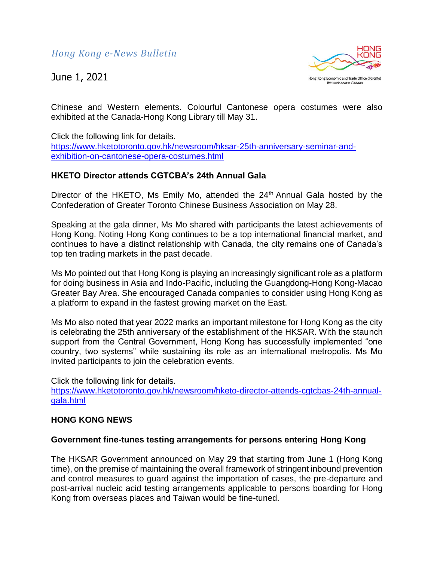June 1, 2021



Chinese and Western elements. Colourful Cantonese opera costumes were also exhibited at the Canada-Hong Kong Library till May 31.

Click the following link for details. [https://www.hketotoronto.gov.hk/newsroom/hksar-25th-anniversary-seminar-and](https://www.hketotoronto.gov.hk/newsroom/hksar-25th-anniversary-seminar-and-exhibition-on-cantonese-opera-costumes.html)[exhibition-on-cantonese-opera-costumes.html](https://www.hketotoronto.gov.hk/newsroom/hksar-25th-anniversary-seminar-and-exhibition-on-cantonese-opera-costumes.html)

## **HKETO Director attends CGTCBA's 24th Annual Gala**

Director of the HKETO, Ms Emily Mo, attended the 24<sup>th</sup> Annual Gala hosted by the Confederation of Greater Toronto Chinese Business Association on May 28.

Speaking at the gala dinner, Ms Mo shared with participants the latest achievements of Hong Kong. Noting Hong Kong continues to be a top international financial market, and continues to have a distinct relationship with Canada, the city remains one of Canada's top ten trading markets in the past decade.

Ms Mo pointed out that Hong Kong is playing an increasingly significant role as a platform for doing business in Asia and Indo-Pacific, including the Guangdong-Hong Kong-Macao Greater Bay Area. She encouraged Canada companies to consider using Hong Kong as a platform to expand in the fastest growing market on the East.

Ms Mo also noted that year 2022 marks an important milestone for Hong Kong as the city is celebrating the 25th anniversary of the establishment of the HKSAR. With the staunch support from the Central Government, Hong Kong has successfully implemented "one country, two systems" while sustaining its role as an international metropolis. Ms Mo invited participants to join the celebration events.

Click the following link for details.

[https://www.hketotoronto.gov.hk/newsroom/hketo-director-attends-cgtcbas-24th-annual](https://www.hketotoronto.gov.hk/newsroom/hketo-director-attends-cgtcbas-24th-annual-gala.html)[gala.html](https://www.hketotoronto.gov.hk/newsroom/hketo-director-attends-cgtcbas-24th-annual-gala.html)

#### **HONG KONG NEWS**

#### **Government fine-tunes testing arrangements for persons entering Hong Kong**

The HKSAR Government announced on May 29 that starting from June 1 (Hong Kong time), on the premise of maintaining the overall framework of stringent inbound prevention and control measures to guard against the importation of cases, the pre-departure and post-arrival nucleic acid testing arrangements applicable to persons boarding for Hong Kong from overseas places and Taiwan would be fine-tuned.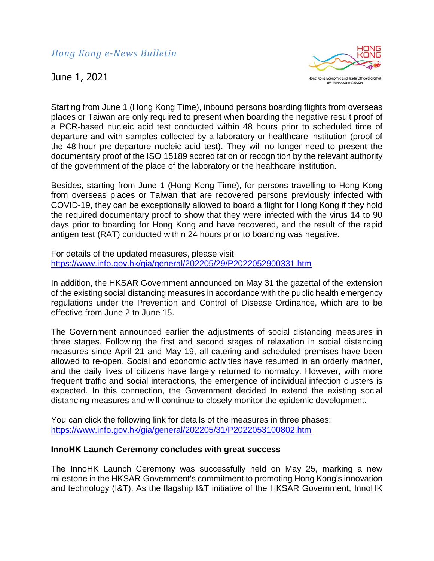June 1, 2021



Starting from June 1 (Hong Kong Time), inbound persons boarding flights from overseas places or Taiwan are only required to present when boarding the negative result proof of a PCR-based nucleic acid test conducted within 48 hours prior to scheduled time of departure and with samples collected by a laboratory or healthcare institution (proof of the 48-hour pre-departure nucleic acid test). They will no longer need to present the documentary proof of the ISO 15189 accreditation or recognition by the relevant authority of the government of the place of the laboratory or the healthcare institution.

Besides, starting from June 1 (Hong Kong Time), for persons travelling to Hong Kong from overseas places or Taiwan that are recovered persons previously infected with COVID-19, they can be exceptionally allowed to board a flight for Hong Kong if they hold the required documentary proof to show that they were infected with the virus 14 to 90 days prior to boarding for Hong Kong and have recovered, and the result of the rapid antigen test (RAT) conducted within 24 hours prior to boarding was negative.

For details of the updated measures, please visit <https://www.info.gov.hk/gia/general/202205/29/P2022052900331.htm>

In addition, the HKSAR Government announced on May 31 the gazettal of the extension of the existing social distancing measures in accordance with the public health emergency regulations under the Prevention and Control of Disease Ordinance, which are to be effective from June 2 to June 15.

The Government announced earlier the adjustments of social distancing measures in three stages. Following the first and second stages of relaxation in social distancing measures since April 21 and May 19, all catering and scheduled premises have been allowed to re-open. Social and economic activities have resumed in an orderly manner, and the daily lives of citizens have largely returned to normalcy. However, with more frequent traffic and social interactions, the emergence of individual infection clusters is expected. In this connection, the Government decided to extend the existing social distancing measures and will continue to closely monitor the epidemic development.

You can click the following link for details of the measures in three phases: <https://www.info.gov.hk/gia/general/202205/31/P2022053100802.htm>

## **InnoHK Launch Ceremony concludes with great success**

The InnoHK Launch Ceremony was successfully held on May 25, marking a new milestone in the HKSAR Government's commitment to promoting Hong Kong's innovation and technology (I&T). As the flagship I&T initiative of the HKSAR Government, InnoHK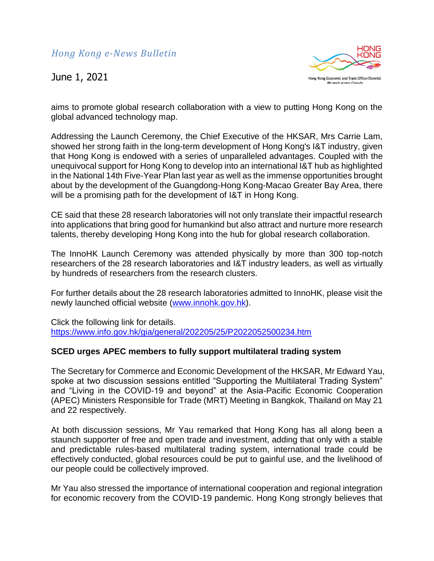

aims to promote global research collaboration with a view to putting Hong Kong on the global advanced technology map.

Addressing the Launch Ceremony, the Chief Executive of the HKSAR, Mrs Carrie Lam, showed her strong faith in the long-term development of Hong Kong's I&T industry, given that Hong Kong is endowed with a series of unparalleled advantages. Coupled with the unequivocal support for Hong Kong to develop into an international I&T hub as highlighted in the National 14th Five-Year Plan last year as well as the immense opportunities brought about by the development of the Guangdong-Hong Kong-Macao Greater Bay Area, there will be a promising path for the development of I&T in Hong Kong.

CE said that these 28 research laboratories will not only translate their impactful research into applications that bring good for humankind but also attract and nurture more research talents, thereby developing Hong Kong into the hub for global research collaboration.

The InnoHK Launch Ceremony was attended physically by more than 300 top-notch researchers of the 28 research laboratories and I&T industry leaders, as well as virtually by hundreds of researchers from the research clusters.

For further details about the 28 research laboratories admitted to InnoHK, please visit the newly launched official website [\(www.innohk.gov.hk\)](https://www.innohk.gov.hk/).

Click the following link for details. <https://www.info.gov.hk/gia/general/202205/25/P2022052500234.htm>

## **SCED urges APEC members to fully support multilateral trading system**

The Secretary for Commerce and Economic Development of the HKSAR, Mr Edward Yau, spoke at two discussion sessions entitled "Supporting the Multilateral Trading System" and "Living in the COVID-19 and beyond" at the Asia-Pacific Economic Cooperation (APEC) Ministers Responsible for Trade (MRT) Meeting in Bangkok, Thailand on May 21 and 22 respectively.

At both discussion sessions, Mr Yau remarked that Hong Kong has all along been a staunch supporter of free and open trade and investment, adding that only with a stable and predictable rules-based multilateral trading system, international trade could be effectively conducted, global resources could be put to gainful use, and the livelihood of our people could be collectively improved.

Mr Yau also stressed the importance of international cooperation and regional integration for economic recovery from the COVID-19 pandemic. Hong Kong strongly believes that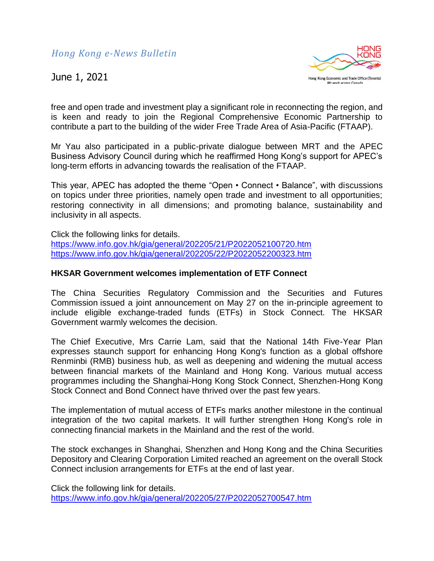

free and open trade and investment play a significant role in reconnecting the region, and is keen and ready to join the Regional Comprehensive Economic Partnership to contribute a part to the building of the wider Free Trade Area of Asia-Pacific (FTAAP).

Mr Yau also participated in a public-private dialogue between MRT and the APEC Business Advisory Council during which he reaffirmed Hong Kong's support for APEC's long-term efforts in advancing towards the realisation of the FTAAP.

This year, APEC has adopted the theme "Open • Connect • Balance", with discussions on topics under three priorities, namely open trade and investment to all opportunities; restoring connectivity in all dimensions; and promoting balance, sustainability and inclusivity in all aspects.

Click the following links for details. <https://www.info.gov.hk/gia/general/202205/21/P2022052100720.htm> <https://www.info.gov.hk/gia/general/202205/22/P2022052200323.htm>

## **HKSAR Government welcomes implementation of ETF Connect**

The China Securities Regulatory Commission and the Securities and Futures Commission issued a joint announcement on May 27 on the in-principle agreement to include eligible exchange-traded funds (ETFs) in Stock Connect. The HKSAR Government warmly welcomes the decision.

The Chief Executive, Mrs Carrie Lam, said that the National 14th Five-Year Plan expresses staunch support for enhancing Hong Kong's function as a global offshore Renminbi (RMB) business hub, as well as deepening and widening the mutual access between financial markets of the Mainland and Hong Kong. Various mutual access programmes including the Shanghai-Hong Kong Stock Connect, Shenzhen-Hong Kong Stock Connect and Bond Connect have thrived over the past few years.

The implementation of mutual access of ETFs marks another milestone in the continual integration of the two capital markets. It will further strengthen Hong Kong's role in connecting financial markets in the Mainland and the rest of the world.

The stock exchanges in Shanghai, Shenzhen and Hong Kong and the China Securities Depository and Clearing Corporation Limited reached an agreement on the overall Stock Connect inclusion arrangements for ETFs at the end of last year.

Click the following link for details. <https://www.info.gov.hk/gia/general/202205/27/P2022052700547.htm>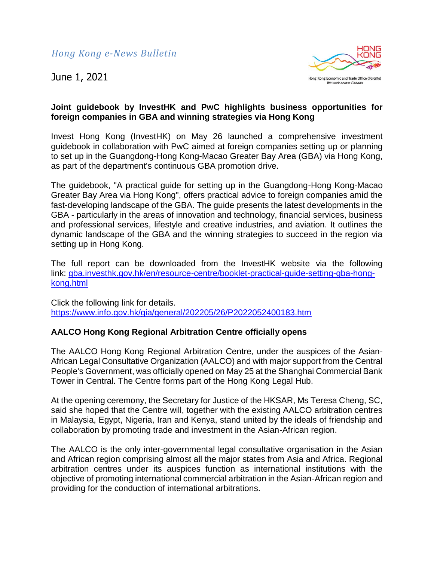

# **Joint guidebook by InvestHK and PwC highlights business opportunities for foreign companies in GBA and winning strategies via Hong Kong**

Invest Hong Kong (InvestHK) on May 26 launched a comprehensive investment guidebook in collaboration with PwC aimed at foreign companies setting up or planning to set up in the Guangdong-Hong Kong-Macao Greater Bay Area (GBA) via Hong Kong, as part of the department's continuous GBA promotion drive.

The guidebook, "A practical guide for setting up in the Guangdong-Hong Kong-Macao Greater Bay Area via Hong Kong", offers practical advice to foreign companies amid the fast-developing landscape of the GBA. The guide presents the latest developments in the GBA - particularly in the areas of innovation and technology, financial services, business and professional services, lifestyle and creative industries, and aviation. It outlines the dynamic landscape of the GBA and the winning strategies to succeed in the region via setting up in Hong Kong.

The full report can be downloaded from the InvestHK website via the following link: [gba.investhk.gov.hk/en/resource-centre/booklet-practical-guide-setting-gba-hong](https://gba.investhk.gov.hk/en/resource-centre/booklet-practical-guide-setting-gba-hong-kong.html)[kong.html](https://gba.investhk.gov.hk/en/resource-centre/booklet-practical-guide-setting-gba-hong-kong.html)

Click the following link for details. <https://www.info.gov.hk/gia/general/202205/26/P2022052400183.htm>

# **AALCO Hong Kong Regional Arbitration Centre officially opens**

The AALCO Hong Kong Regional Arbitration Centre, under the auspices of the Asian-African Legal Consultative Organization (AALCO) and with major support from the Central People's Government, was officially opened on May 25 at the Shanghai Commercial Bank Tower in Central. The Centre forms part of the Hong Kong Legal Hub.

At the opening ceremony, the Secretary for Justice of the HKSAR, Ms Teresa Cheng, SC, said she hoped that the Centre will, together with the existing AALCO arbitration centres in Malaysia, Egypt, Nigeria, Iran and Kenya, stand united by the ideals of friendship and collaboration by promoting trade and investment in the Asian-African region.

The AALCO is the only inter-governmental legal consultative organisation in the Asian and African region comprising almost all the major states from Asia and Africa. Regional arbitration centres under its auspices function as international institutions with the objective of promoting international commercial arbitration in the Asian-African region and providing for the conduction of international arbitrations.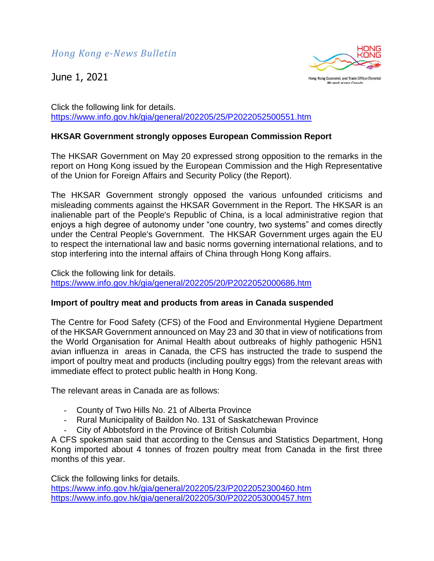

Click the following link for details. <https://www.info.gov.hk/gia/general/202205/25/P2022052500551.htm>

# **HKSAR Government strongly opposes European Commission Report**

The HKSAR Government on May 20 expressed strong opposition to the remarks in the report on Hong Kong issued by the European Commission and the High Representative of the Union for Foreign Affairs and Security Policy (the Report).

The HKSAR Government strongly opposed the various unfounded criticisms and misleading comments against the HKSAR Government in the Report. The HKSAR is an inalienable part of the People's Republic of China, is a local administrative region that enjoys a high degree of autonomy under "one country, two systems" and comes directly under the Central People's Government. The HKSAR Government urges again the EU to respect the international law and basic norms governing international relations, and to stop interfering into the internal affairs of China through Hong Kong affairs.

Click the following link for details. <https://www.info.gov.hk/gia/general/202205/20/P2022052000686.htm>

## **Import of poultry meat and products from areas in Canada suspended**

The Centre for Food Safety (CFS) of the Food and Environmental Hygiene Department of the HKSAR Government announced on May 23 and 30 that in view of notifications from the World Organisation for Animal Health about outbreaks of highly pathogenic H5N1 avian influenza in areas in Canada, the CFS has instructed the trade to suspend the import of poultry meat and products (including poultry eggs) from the relevant areas with immediate effect to protect public health in Hong Kong.

The relevant areas in Canada are as follows:

- County of Two Hills No. 21 of Alberta Province
- Rural Municipality of Baildon No. 131 of Saskatchewan Province
- City of Abbotsford in the Province of British Columbia

A CFS spokesman said that according to the Census and Statistics Department, Hong Kong imported about 4 tonnes of frozen poultry meat from Canada in the first three months of this year.

Click the following links for details. <https://www.info.gov.hk/gia/general/202205/23/P2022052300460.htm> <https://www.info.gov.hk/gia/general/202205/30/P2022053000457.htm>